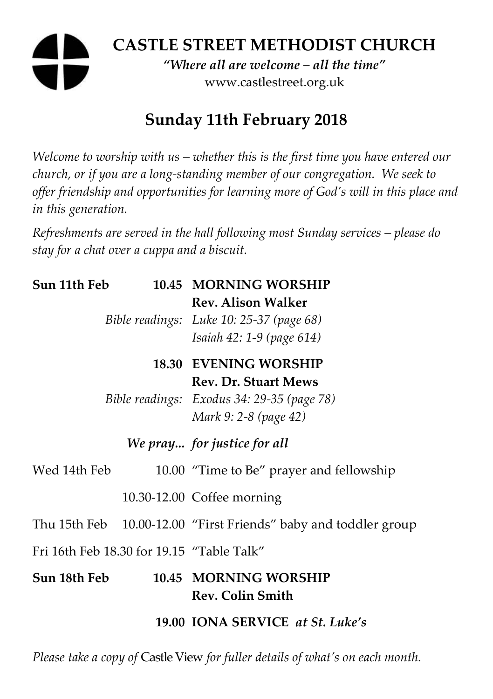# **CASTLE STREET METHODIST CHURCH**

*"Where all are welcome – all the time"*  www.castlestreet.org.uk

# **Sunday 11th February 2018**

*Welcome to worship with us – whether this is the first time you have entered our church, or if you are a long-standing member of our congregation. We seek to offer friendship and opportunities for learning more of God's will in this place and in this generation.* 

*Refreshments are served in the hall following most Sunday services – please do stay for a chat over a cuppa and a biscuit.* 

| Sun 11th Feb                              |  | 10.45 MORNING WORSHIP                                           |
|-------------------------------------------|--|-----------------------------------------------------------------|
|                                           |  | <b>Rev. Alison Walker</b>                                       |
|                                           |  | Bible readings: Luke 10: 25-37 (page 68)                        |
|                                           |  | Isaiah 42: 1-9 (page 614)                                       |
|                                           |  | <b>18.30 EVENING WORSHIP</b>                                    |
|                                           |  | <b>Rev. Dr. Stuart Mews</b>                                     |
|                                           |  | Bible readings: Exodus 34: 29-35 (page 78)                      |
|                                           |  | Mark 9: 2-8 (page 42)                                           |
| We pray for justice for all               |  |                                                                 |
| Wed 14th Feb                              |  | 10.00 "Time to Be" prayer and fellowship                        |
|                                           |  | 10.30-12.00 Coffee morning                                      |
|                                           |  | Thu 15th Feb 10.00-12.00 "First Friends" baby and toddler group |
| Fri 16th Feb 18.30 for 19.15 "Table Talk" |  |                                                                 |
| Sun 18th Feb                              |  | 10.45 MORNING WORSHIP<br><b>Rev. Colin Smith</b>                |
|                                           |  | 19.00 IONA SERVICE at St. Luke's                                |

*Please take a copy of* Castle View *for fuller details of what's on each month.*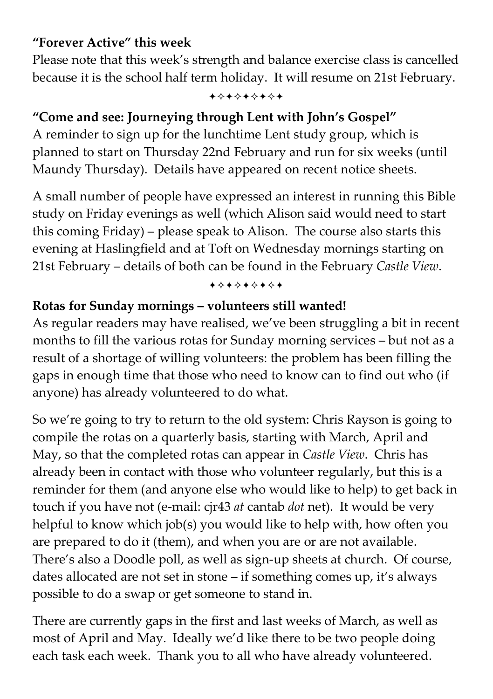## **"Forever Active" this week**

Please note that this week's strength and balance exercise class is cancelled because it is the school half term holiday. It will resume on 21st February.

+\*\*\*\*\*\*\*

# **"Come and see: Journeying through Lent with John's Gospel"**

A reminder to sign up for the lunchtime Lent study group, which is planned to start on Thursday 22nd February and run for six weeks (until Maundy Thursday). Details have appeared on recent notice sheets.

A small number of people have expressed an interest in running this Bible study on Friday evenings as well (which Alison said would need to start this coming Friday) – please speak to Alison. The course also starts this evening at Haslingfield and at Toft on Wednesday mornings starting on 21st February – details of both can be found in the February *Castle View*.

+\*\*\*\*\*\*\*

## **Rotas for Sunday mornings – volunteers still wanted!**

As regular readers may have realised, we've been struggling a bit in recent months to fill the various rotas for Sunday morning services – but not as a result of a shortage of willing volunteers: the problem has been filling the gaps in enough time that those who need to know can to find out who (if anyone) has already volunteered to do what.

So we're going to try to return to the old system: Chris Rayson is going to compile the rotas on a quarterly basis, starting with March, April and May, so that the completed rotas can appear in *Castle View*. Chris has already been in contact with those who volunteer regularly, but this is a reminder for them (and anyone else who would like to help) to get back in touch if you have not (e-mail: cjr43 *at* cantab *dot* net). It would be very helpful to know which job(s) you would like to help with, how often you are prepared to do it (them), and when you are or are not available. There's also a Doodle poll, as well as sign-up sheets at church. Of course, dates allocated are not set in stone – if something comes up, it's always possible to do a swap or get someone to stand in.

There are currently gaps in the first and last weeks of March, as well as most of April and May. Ideally we'd like there to be two people doing each task each week. Thank you to all who have already volunteered.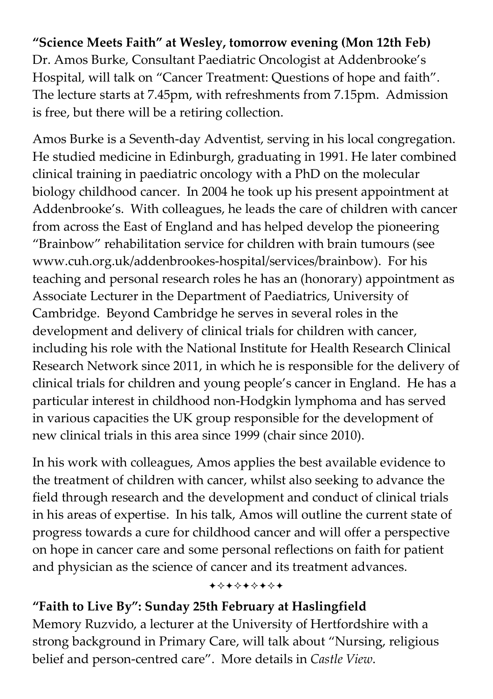## **"Science Meets Faith" at Wesley, tomorrow evening (Mon 12th Feb)**

Dr. Amos Burke, Consultant Paediatric Oncologist at Addenbrooke's Hospital, will talk on "Cancer Treatment: Questions of hope and faith". The lecture starts at 7.45pm, with refreshments from 7.15pm. Admission is free, but there will be a retiring collection.

Amos Burke is a Seventh-day Adventist, serving in his local congregation. He studied medicine in Edinburgh, graduating in 1991. He later combined clinical training in paediatric oncology with a PhD on the molecular biology childhood cancer. In 2004 he took up his present appointment at Addenbrooke's. With colleagues, he leads the care of children with cancer from across the East of England and has helped develop the pioneering "Brainbow" rehabilitation service for children with brain tumours (see www.cuh.org.uk/addenbrookes-hospital/services/brainbow). For his teaching and personal research roles he has an (honorary) appointment as Associate Lecturer in the Department of Paediatrics, University of Cambridge. Beyond Cambridge he serves in several roles in the development and delivery of clinical trials for children with cancer, including his role with the National Institute for Health Research Clinical Research Network since 2011, in which he is responsible for the delivery of clinical trials for children and young people's cancer in England. He has a particular interest in childhood non-Hodgkin lymphoma and has served in various capacities the UK group responsible for the development of new clinical trials in this area since 1999 (chair since 2010).

In his work with colleagues, Amos applies the best available evidence to the treatment of children with cancer, whilst also seeking to advance the field through research and the development and conduct of clinical trials in his areas of expertise. In his talk, Amos will outline the current state of progress towards a cure for childhood cancer and will offer a perspective on hope in cancer care and some personal reflections on faith for patient and physician as the science of cancer and its treatment advances.

#### +\*\*\*\*\*\*\*

### **"Faith to Live By": Sunday 25th February at Haslingfield**

Memory Ruzvido, a lecturer at the University of Hertfordshire with a strong background in Primary Care, will talk about "Nursing, religious belief and person-centred care". More details in *Castle View*.